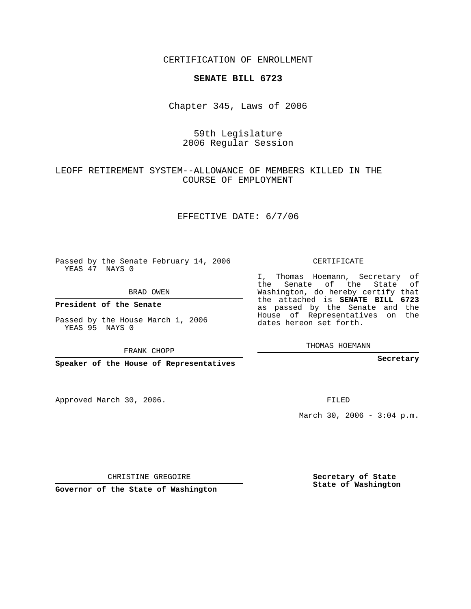CERTIFICATION OF ENROLLMENT

## **SENATE BILL 6723**

Chapter 345, Laws of 2006

## 59th Legislature 2006 Regular Session

LEOFF RETIREMENT SYSTEM--ALLOWANCE OF MEMBERS KILLED IN THE COURSE OF EMPLOYMENT

EFFECTIVE DATE: 6/7/06

Passed by the Senate February 14, 2006 YEAS 47 NAYS 0

BRAD OWEN

**President of the Senate**

Passed by the House March 1, 2006 YEAS 95 NAYS 0

FRANK CHOPP

**Speaker of the House of Representatives**

Approved March 30, 2006.

CERTIFICATE

I, Thomas Hoemann, Secretary of the Senate of the State of Washington, do hereby certify that the attached is **SENATE BILL 6723** as passed by the Senate and the House of Representatives on the dates hereon set forth.

THOMAS HOEMANN

**Secretary**

FILED

March 30, 2006 -  $3:04$  p.m.

CHRISTINE GREGOIRE

**Governor of the State of Washington**

**Secretary of State State of Washington**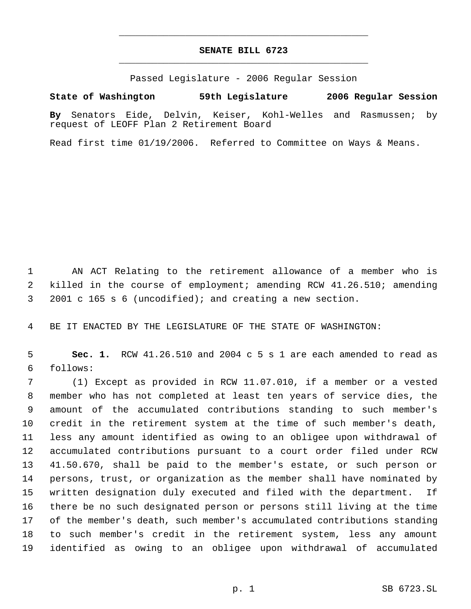## **SENATE BILL 6723** \_\_\_\_\_\_\_\_\_\_\_\_\_\_\_\_\_\_\_\_\_\_\_\_\_\_\_\_\_\_\_\_\_\_\_\_\_\_\_\_\_\_\_\_\_

\_\_\_\_\_\_\_\_\_\_\_\_\_\_\_\_\_\_\_\_\_\_\_\_\_\_\_\_\_\_\_\_\_\_\_\_\_\_\_\_\_\_\_\_\_

Passed Legislature - 2006 Regular Session

## **State of Washington 59th Legislature 2006 Regular Session**

**By** Senators Eide, Delvin, Keiser, Kohl-Welles and Rasmussen; by request of LEOFF Plan 2 Retirement Board

Read first time 01/19/2006. Referred to Committee on Ways & Means.

 AN ACT Relating to the retirement allowance of a member who is killed in the course of employment; amending RCW 41.26.510; amending 2001 c 165 s 6 (uncodified); and creating a new section.

BE IT ENACTED BY THE LEGISLATURE OF THE STATE OF WASHINGTON:

 **Sec. 1.** RCW 41.26.510 and 2004 c 5 s 1 are each amended to read as follows:

 (1) Except as provided in RCW 11.07.010, if a member or a vested member who has not completed at least ten years of service dies, the amount of the accumulated contributions standing to such member's credit in the retirement system at the time of such member's death, less any amount identified as owing to an obligee upon withdrawal of accumulated contributions pursuant to a court order filed under RCW 41.50.670, shall be paid to the member's estate, or such person or persons, trust, or organization as the member shall have nominated by written designation duly executed and filed with the department. If there be no such designated person or persons still living at the time of the member's death, such member's accumulated contributions standing to such member's credit in the retirement system, less any amount identified as owing to an obligee upon withdrawal of accumulated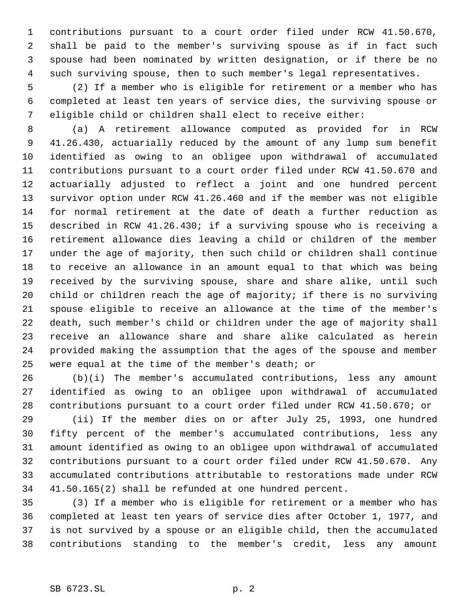contributions pursuant to a court order filed under RCW 41.50.670, shall be paid to the member's surviving spouse as if in fact such spouse had been nominated by written designation, or if there be no such surviving spouse, then to such member's legal representatives.

 (2) If a member who is eligible for retirement or a member who has completed at least ten years of service dies, the surviving spouse or eligible child or children shall elect to receive either:

 (a) A retirement allowance computed as provided for in RCW 41.26.430, actuarially reduced by the amount of any lump sum benefit identified as owing to an obligee upon withdrawal of accumulated contributions pursuant to a court order filed under RCW 41.50.670 and actuarially adjusted to reflect a joint and one hundred percent survivor option under RCW 41.26.460 and if the member was not eligible for normal retirement at the date of death a further reduction as described in RCW 41.26.430; if a surviving spouse who is receiving a retirement allowance dies leaving a child or children of the member under the age of majority, then such child or children shall continue to receive an allowance in an amount equal to that which was being received by the surviving spouse, share and share alike, until such child or children reach the age of majority; if there is no surviving spouse eligible to receive an allowance at the time of the member's death, such member's child or children under the age of majority shall receive an allowance share and share alike calculated as herein provided making the assumption that the ages of the spouse and member were equal at the time of the member's death; or

 (b)(i) The member's accumulated contributions, less any amount identified as owing to an obligee upon withdrawal of accumulated contributions pursuant to a court order filed under RCW 41.50.670; or

 (ii) If the member dies on or after July 25, 1993, one hundred fifty percent of the member's accumulated contributions, less any amount identified as owing to an obligee upon withdrawal of accumulated contributions pursuant to a court order filed under RCW 41.50.670. Any accumulated contributions attributable to restorations made under RCW 41.50.165(2) shall be refunded at one hundred percent.

 (3) If a member who is eligible for retirement or a member who has completed at least ten years of service dies after October 1, 1977, and is not survived by a spouse or an eligible child, then the accumulated contributions standing to the member's credit, less any amount